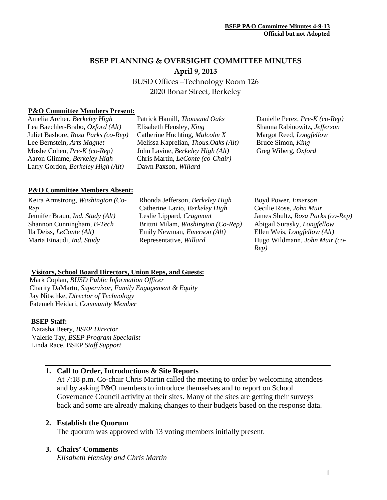# **BSEP PLANNING & OVERSIGHT COMMITTEE MINUTES April 9, 2013**

BUSD Offices –Technology Room 126 2020 Bonar Street, Berkeley

### **P&O Committee Members Present:**

Amelia Archer, *Berkeley High* Lea Baechler-Brabo, *Oxford (Alt)* Juliet Bashore, *Rosa Parks (co-Rep)* Lee Bernstein, *Arts Magnet* Moshe Cohen, *Pre-K (co-Rep)* Aaron Glimme, *Berkeley High* Larry Gordon, *Berkeley High (Alt)*

Patrick Hamill, *Thousand Oaks* Elisabeth Hensley*, King* Catherine Huchting, *Malcolm X* Melissa Kaprelian, *Thous.Oaks (Alt)* John Lavine, *Berkeley High (Alt)* Chris Martin, *LeConte (co-Chair)* Dawn Paxson, *Willard*

Danielle Perez, *Pre-K (co-Rep)* Shauna Rabinowitz, *Jefferson* Margot Reed, *Longfellow* Bruce Simon, *King* Greg Wiberg, *Oxford*

#### **P&O Committee Members Absent:**

Keira Armstrong, *Washington (Co-Rep* Jennifer Braun, *Ind. Study (Alt)* Shannon Cunningham, *B-Tech* Ila Deiss, *LeConte (Alt)* Maria Einaudi, *Ind. Study*

Rhonda Jefferson, *Berkeley High* Catherine Lazio, *Berkeley High* Leslie Lippard, *Cragmont* Brittni Milam, *Washington (Co-Rep)* Emily Newman, *Emerson (Alt)* Representative, *Willard*

Boyd Power, *Emerson* Cecilie Rose, *John Muir* James Shultz, *Rosa Parks (co-Rep)* Abigail Surasky, *Longfellow* Ellen Weis, *Longfellow (Alt)* Hugo Wildmann*, John Muir (co-Rep)*

# **Visitors, School Board Directors, Union Reps, and Guests:**

Mark Coplan, *BUSD Public Information Officer* Charity DaMarto, *Supervisor, Family Engagement & Equity* Jay Nitschke, *Director of Technology* Fatemeh Heidari, *Community Member*

#### **BSEP Staff:**

Natasha Beery, *BSEP Director* Valerie Tay, *BSEP Program Specialist* Linda Race, BSEP *Staff Support*

# **1. Call to Order, Introductions & Site Reports**

At 7:18 p.m. Co-chair Chris Martin called the meeting to order by welcoming attendees and by asking P&O members to introduce themselves and to report on School Governance Council activity at their sites. Many of the sites are getting their surveys back and some are already making changes to their budgets based on the response data.

### **2. Establish the Quorum**

The quorum was approved with 13 voting members initially present.

### **3. Chairs' Comments**

*Elisabeth Hensley and Chris Martin*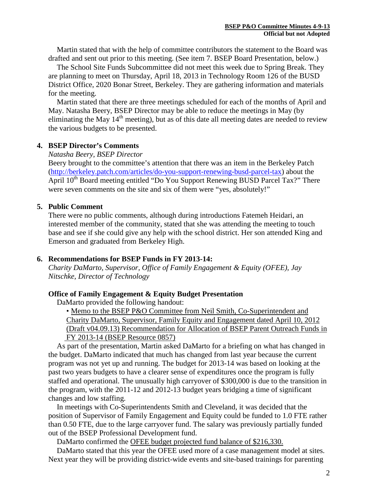Martin stated that with the help of committee contributors the statement to the Board was drafted and sent out prior to this meeting. (See item 7. BSEP Board Presentation, below.)

The School Site Funds Subcommittee did not meet this week due to Spring Break. They are planning to meet on Thursday, April 18, 2013 in Technology Room 126 of the BUSD District Office, 2020 Bonar Street, Berkeley. They are gathering information and materials for the meeting.

Martin stated that there are three meetings scheduled for each of the months of April and May. Natasha Beery, BSEP Director may be able to reduce the meetings in May (by eliminating the May  $14<sup>th</sup>$  meeting), but as of this date all meeting dates are needed to review the various budgets to be presented.

### **4. BSEP Director's Comments**

*Natasha Beery, BSEP Director*

Beery brought to the committee's attention that there was an item in the Berkeley Patch [\(http://berkeley.patch.com/articles/do-you-support-renewing-busd-parcel-tax\)](http://berkeley.patch.com/articles/do-you-support-renewing-busd-parcel-tax) about the April  $10^{th}$  Board meeting entitled "Do You Support Renewing BUSD Parcel Tax?" There were seven comments on the site and six of them were "yes, absolutely!"

### **5. Public Comment**

There were no public comments, although during introductions Fatemeh Heidari, an interested member of the community, stated that she was attending the meeting to touch base and see if she could give any help with the school district. Her son attended King and Emerson and graduated from Berkeley High.

### **6. Recommendations for BSEP Funds in FY 2013-14:**

*Charity DaMarto, Supervisor, Office of Family Engagement & Equity (OFEE), Jay Nitschke, Director of Technology*

# **Office of Family Engagement & Equity Budget Presentation**

DaMarto provided the following handout:

 • Memo to the BSEP P&O Committee from Neil Smith, Co-Superintendent and Charity DaMarto, Supervisor, Family Equity and Engagement dated April 10, 2012 (Draft v04.09.13) Recommendation for Allocation of BSEP Parent Outreach Funds in FY 2013-14 (BSEP Resource 0857)

As part of the presentation, Martin asked DaMarto for a briefing on what has changed in the budget. DaMarto indicated that much has changed from last year because the current program was not yet up and running. The budget for 2013-14 was based on looking at the past two years budgets to have a clearer sense of expenditures once the program is fully staffed and operational. The unusually high carryover of \$300,000 is due to the transition in the program, with the 2011-12 and 2012-13 budget years bridging a time of significant changes and low staffing.

In meetings with Co-Superintendents Smith and Cleveland, it was decided that the position of Supervisor of Family Engagement and Equity could be funded to 1.0 FTE rather than 0.50 FTE, due to the large carryover fund. The salary was previously partially funded out of the BSEP Professional Development fund.

DaMarto confirmed the OFEE budget projected fund balance of \$216,330.

DaMarto stated that this year the OFEE used more of a case management model at sites. Next year they will be providing district-wide events and site-based trainings for parenting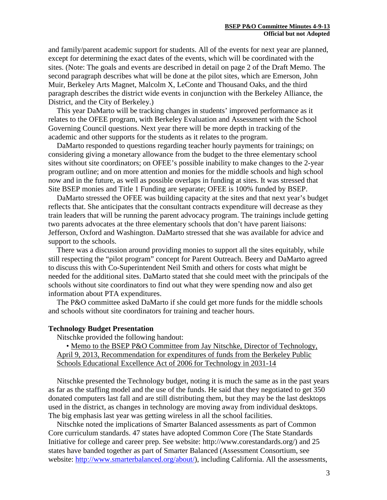and family/parent academic support for students. All of the events for next year are planned, except for determining the exact dates of the events, which will be coordinated with the sites. (Note: The goals and events are described in detail on page 2 of the Draft Memo. The second paragraph describes what will be done at the pilot sites, which are Emerson, John Muir, Berkeley Arts Magnet, Malcolm X, LeConte and Thousand Oaks, and the third paragraph describes the district wide events in conjunction with the Berkeley Alliance, the District, and the City of Berkeley.)

This year DaMarto will be tracking changes in students' improved performance as it relates to the OFEE program, with Berkeley Evaluation and Assessment with the School Governing Council questions. Next year there will be more depth in tracking of the academic and other supports for the students as it relates to the program.

DaMarto responded to questions regarding teacher hourly payments for trainings; on considering giving a monetary allowance from the budget to the three elementary school sites without site coordinators; on OFEE's possible inability to make changes to the 2-year program outline; and on more attention and monies for the middle schools and high school now and in the future, as well as possible overlaps in funding at sites. It was stressed that Site BSEP monies and Title 1 Funding are separate; OFEE is 100% funded by BSEP.

DaMarto stressed the OFEE was building capacity at the sites and that next year's budget reflects that. She anticipates that the consultant contracts expenditure will decrease as they train leaders that will be running the parent advocacy program. The trainings include getting two parents advocates at the three elementary schools that don't have parent liaisons: Jefferson, Oxford and Washington. DaMarto stressed that she was available for advice and support to the schools.

There was a discussion around providing monies to support all the sites equitably, while still respecting the "pilot program" concept for Parent Outreach. Beery and DaMarto agreed to discuss this with Co-Superintendent Neil Smith and others for costs what might be needed for the additional sites. DaMarto stated that she could meet with the principals of the schools without site coordinators to find out what they were spending now and also get information about PTA expenditures.

The P&O committee asked DaMarto if she could get more funds for the middle schools and schools without site coordinators for training and teacher hours.

#### **Technology Budget Presentation**

Nitschke provided the following handout:

• Memo to the BSEP P&O Committee from Jay Nitschke, Director of Technology, April 9, 2013, Recommendation for expenditures of funds from the Berkeley Public Schools Educational Excellence Act of 2006 for Technology in 2031-14

Nitschke presented the Technology budget, noting it is much the same as in the past years as far as the staffing model and the use of the funds. He said that they negotiated to get 350 donated computers last fall and are still distributing them, but they may be the last desktops used in the district, as changes in technology are moving away from individual desktops. The big emphasis last year was getting wireless in all the school facilities.

Nitschke noted the implications of Smarter Balanced assessments as part of Common Core curriculum standards. 47 states have adopted Common Core (The State Standards Initiative for college and career prep. See website: http://www.corestandards.org/) and 25 states have banded together as part of Smarter Balanced (Assessment Consortium, see website: [http://www.smarterbalanced.org/about/\)](http://www.smarterbalanced.org/about/), including California. All the assessments,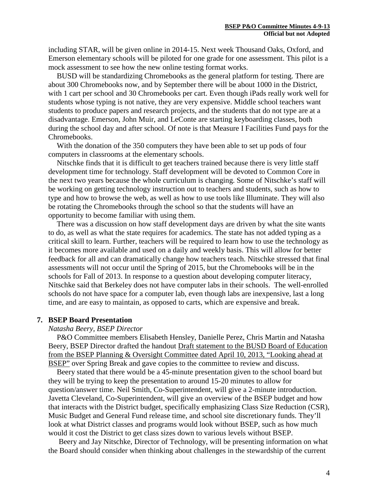including STAR, will be given online in 2014-15. Next week Thousand Oaks, Oxford, and Emerson elementary schools will be piloted for one grade for one assessment. This pilot is a mock assessment to see how the new online testing format works.

BUSD will be standardizing Chromebooks as the general platform for testing. There are about 300 Chromebooks now, and by September there will be about 1000 in the District, with 1 cart per school and 30 Chromebooks per cart. Even though iPads really work well for students whose typing is not native, they are very expensive. Middle school teachers want students to produce papers and research projects, and the students that do not type are at a disadvantage. Emerson, John Muir, and LeConte are starting keyboarding classes, both during the school day and after school. Of note is that Measure I Facilities Fund pays for the Chromebooks.

With the donation of the 350 computers they have been able to set up pods of four computers in classrooms at the elementary schools.

Nitschke finds that it is difficult to get teachers trained because there is very little staff development time for technology. Staff development will be devoted to Common Core in the next two years because the whole curriculum is changing. Some of Nitschke's staff will be working on getting technology instruction out to teachers and students, such as how to type and how to browse the web, as well as how to use tools like Illuminate. They will also be rotating the Chromebooks through the school so that the students will have an opportunity to become familiar with using them.

There was a discussion on how staff development days are driven by what the site wants to do, as well as what the state requires for academics. The state has not added typing as a critical skill to learn. Further, teachers will be required to learn how to use the technology as it becomes more available and used on a daily and weekly basis. This will allow for better feedback for all and can dramatically change how teachers teach. Nitschke stressed that final assessments will not occur until the Spring of 2015, but the Chromebooks will be in the schools for Fall of 2013. In response to a question about developing computer literacy, Nitschke said that Berkeley does not have computer labs in their schools. The well-enrolled schools do not have space for a computer lab, even though labs are inexpensive, last a long time, and are easy to maintain, as opposed to carts, which are expensive and break.

#### **7. BSEP Board Presentation**

#### *Natasha Beery, BSEP Director*

P&O Committee members Elisabeth Hensley, Danielle Perez, Chris Martin and Natasha Beery, BSEP Director drafted the handout Draft statement to the BUSD Board of Education from the BSEP Planning & Oversight Committee dated April 10, 2013, "Looking ahead at BSEP" over Spring Break and gave copies to the committee to review and discuss.

Beery stated that there would be a 45-minute presentation given to the school board but they will be trying to keep the presentation to around 15-20 minutes to allow for question/answer time. Neil Smith, Co-Superintendent, will give a 2-minute introduction. Javetta Cleveland, Co-Superintendent, will give an overview of the BSEP budget and how that interacts with the District budget, specifically emphasizing Class Size Reduction (CSR), Music Budget and General Fund release time, and school site discretionary funds. They'll look at what District classes and programs would look without BSEP, such as how much would it cost the District to get class sizes down to various levels without BSEP.

Beery and Jay Nitschke, Director of Technology, will be presenting information on what the Board should consider when thinking about challenges in the stewardship of the current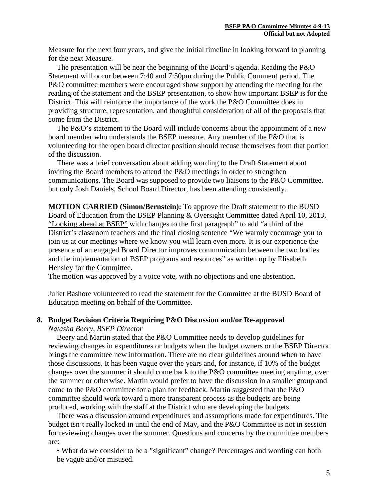Measure for the next four years, and give the initial timeline in looking forward to planning for the next Measure.

The presentation will be near the beginning of the Board's agenda. Reading the P&O Statement will occur between 7:40 and 7:50pm during the Public Comment period. The P&O committee members were encouraged show support by attending the meeting for the reading of the statement and the BSEP presentation, to show how important BSEP is for the District. This will reinforce the importance of the work the P&O Committee does in providing structure, representation, and thoughtful consideration of all of the proposals that come from the District.

The P&O's statement to the Board will include concerns about the appointment of a new board member who understands the BSEP measure. Any member of the P&O that is volunteering for the open board director position should recuse themselves from that portion of the discussion.

There was a brief conversation about adding wording to the Draft Statement about inviting the Board members to attend the P&O meetings in order to strengthen communications. The Board was supposed to provide two liaisons to the P&O Committee, but only Josh Daniels, School Board Director, has been attending consistently.

**MOTION CARRIED (Simon/Bernstein):** To approve the Draft statement to the BUSD Board of Education from the BSEP Planning & Oversight Committee dated April 10, 2013, "Looking ahead at BSEP" with changes to the first paragraph" to add "a third of the District's classroom teachers and the final closing sentence "We warmly encourage you to join us at our meetings where we know you will learn even more. It is our experience the presence of an engaged Board Director improves communication between the two bodies and the implementation of BSEP programs and resources" as written up by Elisabeth Hensley for the Committee.

The motion was approved by a voice vote, with no objections and one abstention.

Juliet Bashore volunteered to read the statement for the Committee at the BUSD Board of Education meeting on behalf of the Committee.

### **8. Budget Revision Criteria Requiring P&O Discussion and/or Re-approval**

*Natasha Beery, BSEP Director*

Beery and Martin stated that the P&O Committee needs to develop guidelines for reviewing changes in expenditures or budgets when the budget owners or the BSEP Director brings the committee new information. There are no clear guidelines around when to have those discussions. It has been vague over the years and, for instance, if 10% of the budget changes over the summer it should come back to the P&O committee meeting anytime, over the summer or otherwise. Martin would prefer to have the discussion in a smaller group and come to the P&O committee for a plan for feedback. Martin suggested that the P&O committee should work toward a more transparent process as the budgets are being produced, working with the staff at the District who are developing the budgets.

There was a discussion around expenditures and assumptions made for expenditures. The budget isn't really locked in until the end of May, and the P&O Committee is not in session for reviewing changes over the summer. Questions and concerns by the committee members are:

• What do we consider to be a "significant" change? Percentages and wording can both be vague and/or misused.